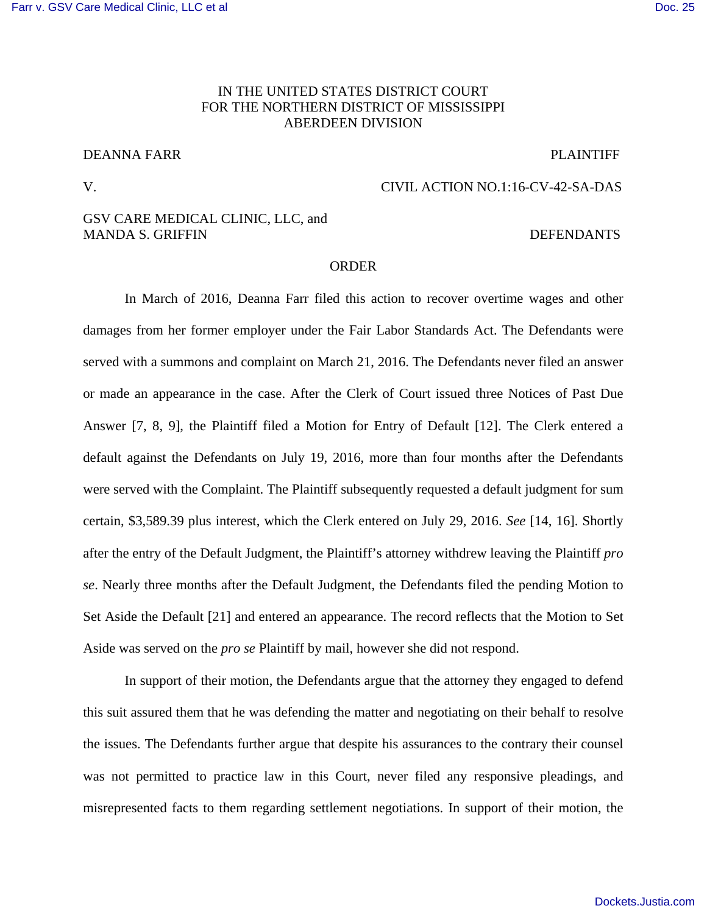# IN THE UNITED STATES DISTRICT COURT FOR THE NORTHERN DISTRICT OF MISSISSIPPI ABERDEEN DIVISION

# DEANNA FARR PLAINTIFF

### V. CIVIL ACTION NO.1:16-CV-42-SA-DAS

## GSV CARE MEDICAL CLINIC, LLC, and MANDA S. GRIFFIN

## **ORDER**

In March of 2016, Deanna Farr filed this action to recover overtime wages and other damages from her former employer under the Fair Labor Standards Act. The Defendants were served with a summons and complaint on March 21, 2016. The Defendants never filed an answer or made an appearance in the case. After the Clerk of Court issued three Notices of Past Due Answer [7, 8, 9], the Plaintiff filed a Motion for Entry of Default [12]. The Clerk entered a default against the Defendants on July 19, 2016, more than four months after the Defendants were served with the Complaint. The Plaintiff subsequently requested a default judgment for sum certain, \$3,589.39 plus interest, which the Clerk entered on July 29, 2016. *See* [14, 16]. Shortly after the entry of the Default Judgment, the Plaintiff's attorney withdrew leaving the Plaintiff *pro se*. Nearly three months after the Default Judgment, the Defendants filed the pending Motion to Set Aside the Default [21] and entered an appearance. The record reflects that the Motion to Set Aside was served on the *pro se* Plaintiff by mail, however she did not respond.

In support of their motion, the Defendants argue that the attorney they engaged to defend this suit assured them that he was defending the matter and negotiating on their behalf to resolve the issues. The Defendants further argue that despite his assurances to the contrary their counsel was not permitted to practice law in this Court, never filed any responsive pleadings, and misrepresented facts to them regarding settlement negotiations. In support of their motion, the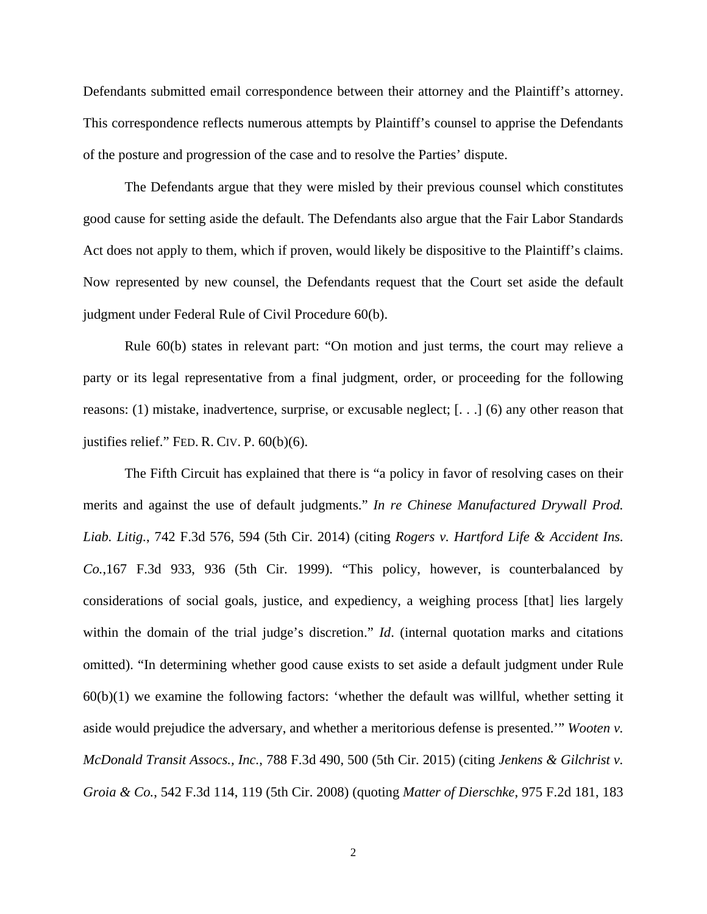Defendants submitted email correspondence between their attorney and the Plaintiff's attorney. This correspondence reflects numerous attempts by Plaintiff's counsel to apprise the Defendants of the posture and progression of the case and to resolve the Parties' dispute.

The Defendants argue that they were misled by their previous counsel which constitutes good cause for setting aside the default. The Defendants also argue that the Fair Labor Standards Act does not apply to them, which if proven, would likely be dispositive to the Plaintiff's claims. Now represented by new counsel, the Defendants request that the Court set aside the default judgment under Federal Rule of Civil Procedure 60(b).

Rule 60(b) states in relevant part: "On motion and just terms, the court may relieve a party or its legal representative from a final judgment, order, or proceeding for the following reasons: (1) mistake, inadvertence, surprise, or excusable neglect; [. . .] (6) any other reason that justifies relief." FED. R. CIV. P. 60(b)(6).

The Fifth Circuit has explained that there is "a policy in favor of resolving cases on their merits and against the use of default judgments." *In re Chinese Manufactured Drywall Prod. Liab. Litig.*, 742 F.3d 576, 594 (5th Cir. 2014) (citing *Rogers v. Hartford Life & Accident Ins. Co.*,167 F.3d 933, 936 (5th Cir. 1999). "This policy, however, is counterbalanced by considerations of social goals, justice, and expediency, a weighing process [that] lies largely within the domain of the trial judge's discretion." *Id*. (internal quotation marks and citations omitted). "In determining whether good cause exists to set aside a default judgment under Rule 60(b)(1) we examine the following factors: 'whether the default was willful, whether setting it aside would prejudice the adversary, and whether a meritorious defense is presented.'" *Wooten v. McDonald Transit Assocs., Inc.*, 788 F.3d 490, 500 (5th Cir. 2015) (citing *Jenkens & Gilchrist v. Groia & Co.*, 542 F.3d 114, 119 (5th Cir. 2008) (quoting *Matter of Dierschke*, 975 F.2d 181, 183